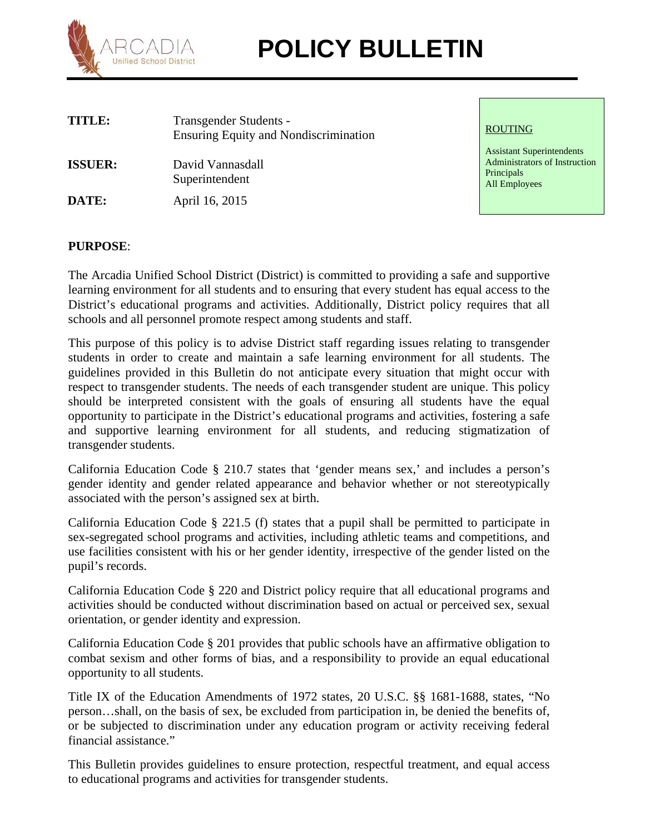

# RCADIA **POLICY BULLETIN**

| TITLE:         | Transgender Students -<br><b>Ensuring Equity and Nondiscrimination</b> | <b>ROUTING</b>                                                    |
|----------------|------------------------------------------------------------------------|-------------------------------------------------------------------|
| <b>ISSUER:</b> | David Vannasdall<br>Superintendent                                     | <b>Assistant Sup</b><br>Administrato<br>Principals<br>All Employe |
| DATE:          | April 16, 2015                                                         |                                                                   |

Assistant Superintendents Administrators of Instruction **Principals** All Employees

# **PURPOSE**:

The Arcadia Unified School District (District) is committed to providing a safe and supportive learning environment for all students and to ensuring that every student has equal access to the District's educational programs and activities. Additionally, District policy requires that all schools and all personnel promote respect among students and staff.

This purpose of this policy is to advise District staff regarding issues relating to transgender students in order to create and maintain a safe learning environment for all students. The guidelines provided in this Bulletin do not anticipate every situation that might occur with respect to transgender students. The needs of each transgender student are unique. This policy should be interpreted consistent with the goals of ensuring all students have the equal opportunity to participate in the District's educational programs and activities, fostering a safe and supportive learning environment for all students, and reducing stigmatization of transgender students.

California Education Code § 210.7 states that 'gender means sex,' and includes a person's gender identity and gender related appearance and behavior whether or not stereotypically associated with the person's assigned sex at birth.

California Education Code § 221.5 (f) states that a pupil shall be permitted to participate in sex-segregated school programs and activities, including athletic teams and competitions, and use facilities consistent with his or her gender identity, irrespective of the gender listed on the pupil's records.

California Education Code § 220 and District policy require that all educational programs and activities should be conducted without discrimination based on actual or perceived sex, sexual orientation, or gender identity and expression.

California Education Code § 201 provides that public schools have an affirmative obligation to combat sexism and other forms of bias, and a responsibility to provide an equal educational opportunity to all students.

Title IX of the Education Amendments of 1972 states, 20 U.S.C. §§ 1681-1688, states, "No person…shall, on the basis of sex, be excluded from participation in, be denied the benefits of, or be subjected to discrimination under any education program or activity receiving federal financial assistance."

This Bulletin provides guidelines to ensure protection, respectful treatment, and equal access to educational programs and activities for transgender students.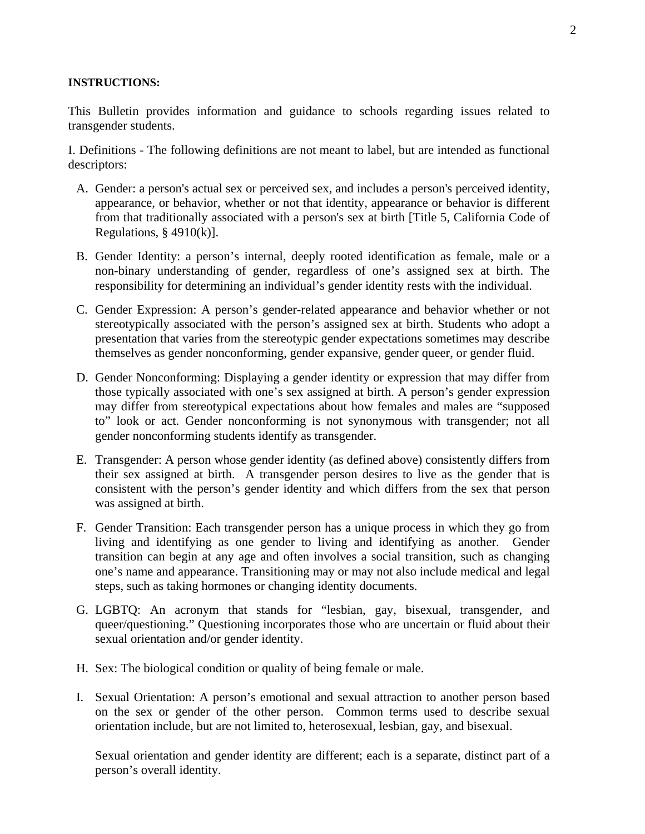#### **INSTRUCTIONS:**

This Bulletin provides information and guidance to schools regarding issues related to transgender students.

I. Definitions - The following definitions are not meant to label, but are intended as functional descriptors:

- A. Gender: a person's actual sex or perceived sex, and includes a person's perceived identity, appearance, or behavior, whether or not that identity, appearance or behavior is different from that traditionally associated with a person's sex at birth [Title 5, California Code of Regulations, § 4910(k)].
- B. Gender Identity: a person's internal, deeply rooted identification as female, male or a non-binary understanding of gender, regardless of one's assigned sex at birth. The responsibility for determining an individual's gender identity rests with the individual.
- C. Gender Expression: A person's gender-related appearance and behavior whether or not stereotypically associated with the person's assigned sex at birth. Students who adopt a presentation that varies from the stereotypic gender expectations sometimes may describe themselves as gender nonconforming, gender expansive, gender queer, or gender fluid.
- D. Gender Nonconforming: Displaying a gender identity or expression that may differ from those typically associated with one's sex assigned at birth. A person's gender expression may differ from stereotypical expectations about how females and males are "supposed to" look or act. Gender nonconforming is not synonymous with transgender; not all gender nonconforming students identify as transgender.
- E. Transgender: A person whose gender identity (as defined above) consistently differs from their sex assigned at birth. A transgender person desires to live as the gender that is consistent with the person's gender identity and which differs from the sex that person was assigned at birth.
- F. Gender Transition: Each transgender person has a unique process in which they go from living and identifying as one gender to living and identifying as another. Gender transition can begin at any age and often involves a social transition, such as changing one's name and appearance. Transitioning may or may not also include medical and legal steps, such as taking hormones or changing identity documents.
- G. LGBTQ: An acronym that stands for "lesbian, gay, bisexual, transgender, and queer/questioning." Questioning incorporates those who are uncertain or fluid about their sexual orientation and/or gender identity.
- H. Sex: The biological condition or quality of being female or male.
- I. Sexual Orientation: A person's emotional and sexual attraction to another person based on the sex or gender of the other person. Common terms used to describe sexual orientation include, but are not limited to, heterosexual, lesbian, gay, and bisexual.

Sexual orientation and gender identity are different; each is a separate, distinct part of a person's overall identity.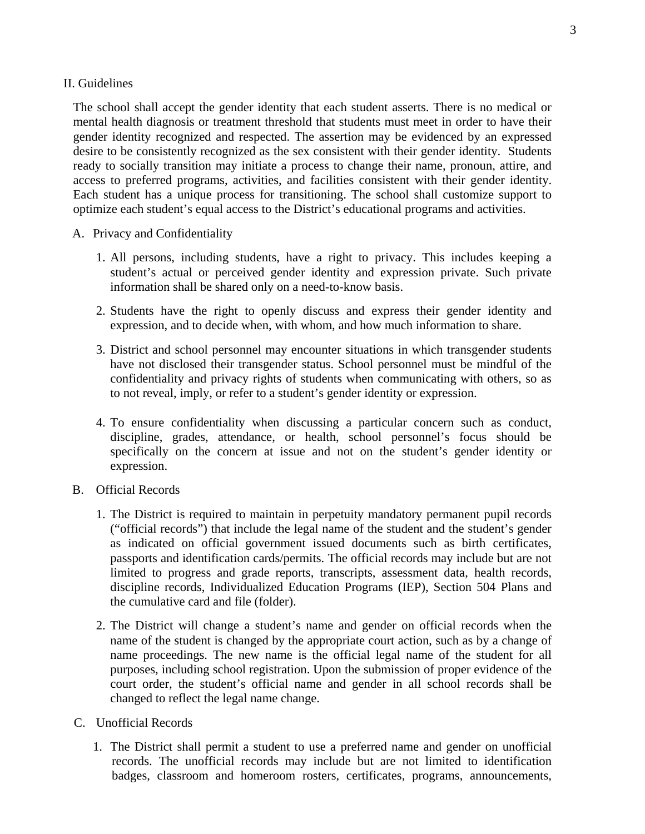### II. Guidelines

The school shall accept the gender identity that each student asserts. There is no medical or mental health diagnosis or treatment threshold that students must meet in order to have their gender identity recognized and respected. The assertion may be evidenced by an expressed desire to be consistently recognized as the sex consistent with their gender identity. Students ready to socially transition may initiate a process to change their name, pronoun, attire, and access to preferred programs, activities, and facilities consistent with their gender identity. Each student has a unique process for transitioning. The school shall customize support to optimize each student's equal access to the District's educational programs and activities.

# A. Privacy and Confidentiality

- 1. All persons, including students, have a right to privacy. This includes keeping a student's actual or perceived gender identity and expression private. Such private information shall be shared only on a need-to-know basis.
- 2. Students have the right to openly discuss and express their gender identity and expression, and to decide when, with whom, and how much information to share.
- 3. District and school personnel may encounter situations in which transgender students have not disclosed their transgender status. School personnel must be mindful of the confidentiality and privacy rights of students when communicating with others, so as to not reveal, imply, or refer to a student's gender identity or expression.
- 4. To ensure confidentiality when discussing a particular concern such as conduct, discipline, grades, attendance, or health, school personnel's focus should be specifically on the concern at issue and not on the student's gender identity or expression.
- B. Official Records
	- 1. The District is required to maintain in perpetuity mandatory permanent pupil records ("official records") that include the legal name of the student and the student's gender as indicated on official government issued documents such as birth certificates, passports and identification cards/permits. The official records may include but are not limited to progress and grade reports, transcripts, assessment data, health records, discipline records, Individualized Education Programs (IEP), Section 504 Plans and the cumulative card and file (folder).
	- 2. The District will change a student's name and gender on official records when the name of the student is changed by the appropriate court action, such as by a change of name proceedings. The new name is the official legal name of the student for all purposes, including school registration. Upon the submission of proper evidence of the court order, the student's official name and gender in all school records shall be changed to reflect the legal name change.
- C. Unofficial Records
	- 1. The District shall permit a student to use a preferred name and gender on unofficial records. The unofficial records may include but are not limited to identification badges, classroom and homeroom rosters, certificates, programs, announcements,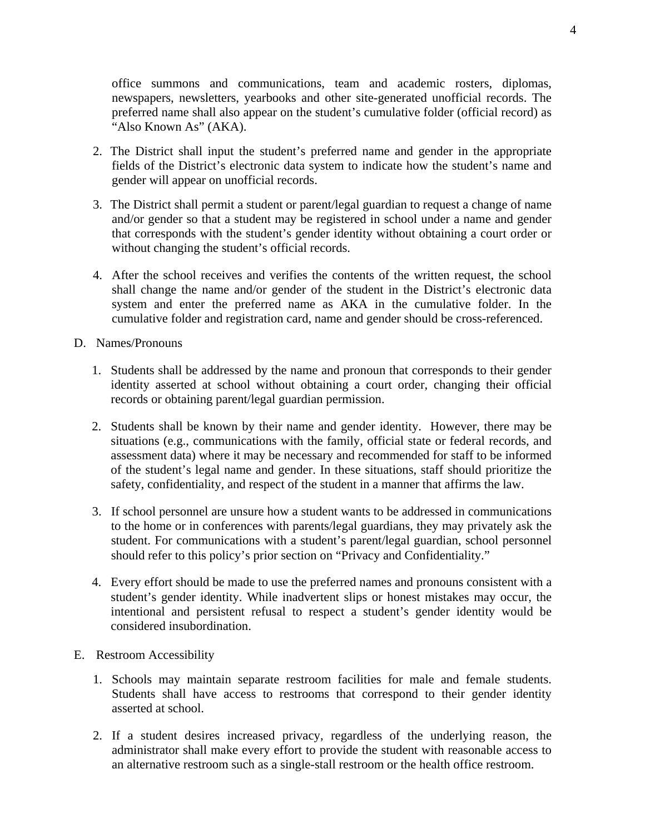office summons and communications, team and academic rosters, diplomas, newspapers, newsletters, yearbooks and other site-generated unofficial records. The preferred name shall also appear on the student's cumulative folder (official record) as "Also Known As" (AKA).

- 2. The District shall input the student's preferred name and gender in the appropriate fields of the District's electronic data system to indicate how the student's name and gender will appear on unofficial records.
- 3. The District shall permit a student or parent/legal guardian to request a change of name and/or gender so that a student may be registered in school under a name and gender that corresponds with the student's gender identity without obtaining a court order or without changing the student's official records.
- 4. After the school receives and verifies the contents of the written request, the school shall change the name and/or gender of the student in the District's electronic data system and enter the preferred name as AKA in the cumulative folder. In the cumulative folder and registration card, name and gender should be cross-referenced.
- D. Names/Pronouns
	- 1. Students shall be addressed by the name and pronoun that corresponds to their gender identity asserted at school without obtaining a court order, changing their official records or obtaining parent/legal guardian permission.
	- 2. Students shall be known by their name and gender identity. However, there may be situations (e.g., communications with the family, official state or federal records, and assessment data) where it may be necessary and recommended for staff to be informed of the student's legal name and gender. In these situations, staff should prioritize the safety, confidentiality, and respect of the student in a manner that affirms the law.
	- 3. If school personnel are unsure how a student wants to be addressed in communications to the home or in conferences with parents/legal guardians, they may privately ask the student. For communications with a student's parent/legal guardian, school personnel should refer to this policy's prior section on "Privacy and Confidentiality."
	- 4. Every effort should be made to use the preferred names and pronouns consistent with a student's gender identity. While inadvertent slips or honest mistakes may occur, the intentional and persistent refusal to respect a student's gender identity would be considered insubordination.
- E. Restroom Accessibility
	- 1. Schools may maintain separate restroom facilities for male and female students. Students shall have access to restrooms that correspond to their gender identity asserted at school.
	- 2. If a student desires increased privacy, regardless of the underlying reason, the administrator shall make every effort to provide the student with reasonable access to an alternative restroom such as a single-stall restroom or the health office restroom.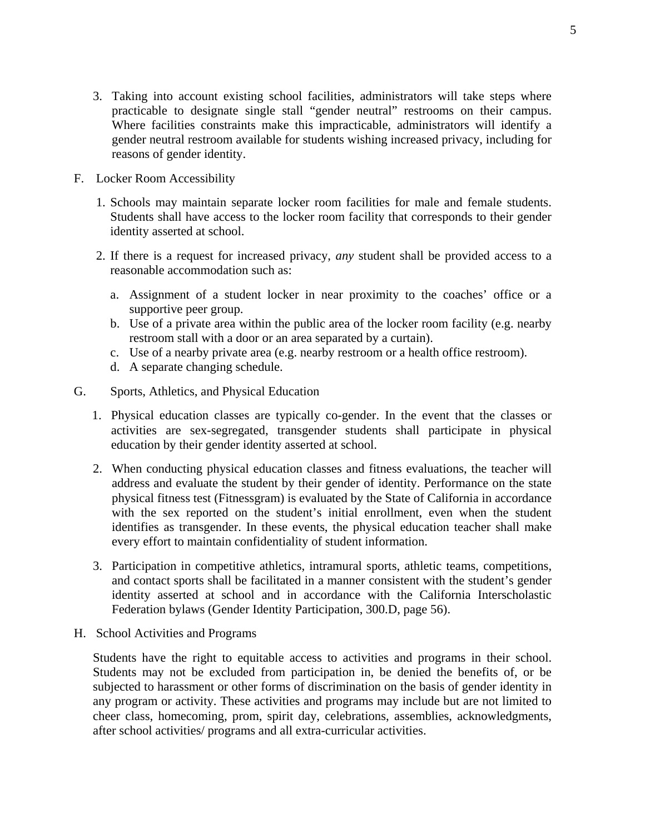- 3. Taking into account existing school facilities, administrators will take steps where practicable to designate single stall "gender neutral" restrooms on their campus. Where facilities constraints make this impracticable, administrators will identify a gender neutral restroom available for students wishing increased privacy, including for reasons of gender identity.
- F. Locker Room Accessibility
	- 1. Schools may maintain separate locker room facilities for male and female students. Students shall have access to the locker room facility that corresponds to their gender identity asserted at school.
	- 2. If there is a request for increased privacy, *any* student shall be provided access to a reasonable accommodation such as:
		- a. Assignment of a student locker in near proximity to the coaches' office or a supportive peer group.
		- b. Use of a private area within the public area of the locker room facility (e.g. nearby restroom stall with a door or an area separated by a curtain).
		- c. Use of a nearby private area (e.g. nearby restroom or a health office restroom).
		- d. A separate changing schedule.
- G. Sports, Athletics, and Physical Education
	- 1. Physical education classes are typically co-gender. In the event that the classes or activities are sex-segregated, transgender students shall participate in physical education by their gender identity asserted at school.
	- 2. When conducting physical education classes and fitness evaluations, the teacher will address and evaluate the student by their gender of identity. Performance on the state physical fitness test (Fitnessgram) is evaluated by the State of California in accordance with the sex reported on the student's initial enrollment, even when the student identifies as transgender. In these events, the physical education teacher shall make every effort to maintain confidentiality of student information.
	- 3. Participation in competitive athletics, intramural sports, athletic teams, competitions, and contact sports shall be facilitated in a manner consistent with the student's gender identity asserted at school and in accordance with the California Interscholastic Federation bylaws (Gender Identity Participation, 300.D, page 56).
- H. School Activities and Programs

Students have the right to equitable access to activities and programs in their school. Students may not be excluded from participation in, be denied the benefits of, or be subjected to harassment or other forms of discrimination on the basis of gender identity in any program or activity. These activities and programs may include but are not limited to cheer class, homecoming, prom, spirit day, celebrations, assemblies, acknowledgments, after school activities/ programs and all extra-curricular activities.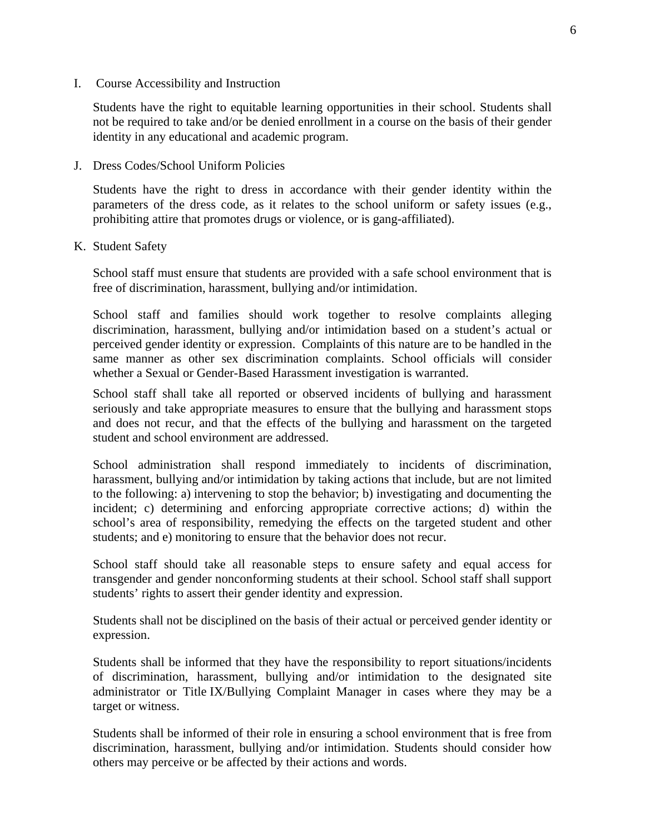I. Course Accessibility and Instruction

Students have the right to equitable learning opportunities in their school. Students shall not be required to take and/or be denied enrollment in a course on the basis of their gender identity in any educational and academic program.

J. Dress Codes/School Uniform Policies

Students have the right to dress in accordance with their gender identity within the parameters of the dress code, as it relates to the school uniform or safety issues (e.g., prohibiting attire that promotes drugs or violence, or is gang-affiliated).

K. Student Safety

School staff must ensure that students are provided with a safe school environment that is free of discrimination, harassment, bullying and/or intimidation.

School staff and families should work together to resolve complaints alleging discrimination, harassment, bullying and/or intimidation based on a student's actual or perceived gender identity or expression. Complaints of this nature are to be handled in the same manner as other sex discrimination complaints. School officials will consider whether a Sexual or Gender-Based Harassment investigation is warranted.

School staff shall take all reported or observed incidents of bullying and harassment seriously and take appropriate measures to ensure that the bullying and harassment stops and does not recur, and that the effects of the bullying and harassment on the targeted student and school environment are addressed.

School administration shall respond immediately to incidents of discrimination, harassment, bullying and/or intimidation by taking actions that include, but are not limited to the following: a) intervening to stop the behavior; b) investigating and documenting the incident; c) determining and enforcing appropriate corrective actions; d) within the school's area of responsibility, remedying the effects on the targeted student and other students; and e) monitoring to ensure that the behavior does not recur.

School staff should take all reasonable steps to ensure safety and equal access for transgender and gender nonconforming students at their school. School staff shall support students' rights to assert their gender identity and expression.

Students shall not be disciplined on the basis of their actual or perceived gender identity or expression.

Students shall be informed that they have the responsibility to report situations/incidents of discrimination, harassment, bullying and/or intimidation to the designated site administrator or Title IX/Bullying Complaint Manager in cases where they may be a target or witness.

Students shall be informed of their role in ensuring a school environment that is free from discrimination, harassment, bullying and/or intimidation. Students should consider how others may perceive or be affected by their actions and words.